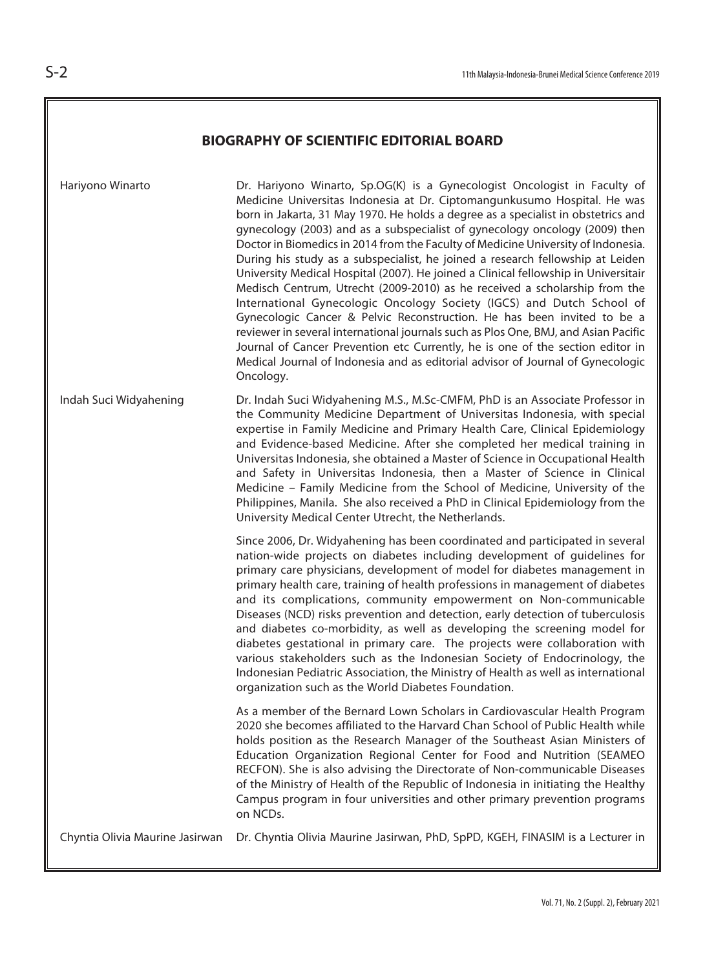## **BIOGRAPHY OF SCIENTIFIC EDITORIAL BOARD**

| Hariyono Winarto                | Dr. Hariyono Winarto, Sp.OG(K) is a Gynecologist Oncologist in Faculty of<br>Medicine Universitas Indonesia at Dr. Ciptomangunkusumo Hospital. He was<br>born in Jakarta, 31 May 1970. He holds a degree as a specialist in obstetrics and<br>gynecology (2003) and as a subspecialist of gynecology oncology (2009) then<br>Doctor in Biomedics in 2014 from the Faculty of Medicine University of Indonesia.<br>During his study as a subspecialist, he joined a research fellowship at Leiden<br>University Medical Hospital (2007). He joined a Clinical fellowship in Universitair<br>Medisch Centrum, Utrecht (2009-2010) as he received a scholarship from the<br>International Gynecologic Oncology Society (IGCS) and Dutch School of<br>Gynecologic Cancer & Pelvic Reconstruction. He has been invited to be a<br>reviewer in several international journals such as Plos One, BMJ, and Asian Pacific<br>Journal of Cancer Prevention etc Currently, he is one of the section editor in<br>Medical Journal of Indonesia and as editorial advisor of Journal of Gynecologic<br>Oncology. |
|---------------------------------|----------------------------------------------------------------------------------------------------------------------------------------------------------------------------------------------------------------------------------------------------------------------------------------------------------------------------------------------------------------------------------------------------------------------------------------------------------------------------------------------------------------------------------------------------------------------------------------------------------------------------------------------------------------------------------------------------------------------------------------------------------------------------------------------------------------------------------------------------------------------------------------------------------------------------------------------------------------------------------------------------------------------------------------------------------------------------------------------------|
| Indah Suci Widyahening          | Dr. Indah Suci Widyahening M.S., M.Sc-CMFM, PhD is an Associate Professor in<br>the Community Medicine Department of Universitas Indonesia, with special<br>expertise in Family Medicine and Primary Health Care, Clinical Epidemiology<br>and Evidence-based Medicine. After she completed her medical training in<br>Universitas Indonesia, she obtained a Master of Science in Occupational Health<br>and Safety in Universitas Indonesia, then a Master of Science in Clinical<br>Medicine - Family Medicine from the School of Medicine, University of the<br>Philippines, Manila. She also received a PhD in Clinical Epidemiology from the<br>University Medical Center Utrecht, the Netherlands.                                                                                                                                                                                                                                                                                                                                                                                           |
|                                 | Since 2006, Dr. Widyahening has been coordinated and participated in several<br>nation-wide projects on diabetes including development of guidelines for<br>primary care physicians, development of model for diabetes management in<br>primary health care, training of health professions in management of diabetes<br>and its complications, community empowerment on Non-communicable<br>Diseases (NCD) risks prevention and detection, early detection of tuberculosis<br>and diabetes co-morbidity, as well as developing the screening model for<br>diabetes gestational in primary care. The projects were collaboration with<br>various stakeholders such as the Indonesian Society of Endocrinology, the<br>Indonesian Pediatric Association, the Ministry of Health as well as international<br>organization such as the World Diabetes Foundation.                                                                                                                                                                                                                                     |
|                                 | As a member of the Bernard Lown Scholars in Cardiovascular Health Program<br>2020 she becomes affiliated to the Harvard Chan School of Public Health while<br>holds position as the Research Manager of the Southeast Asian Ministers of<br>Education Organization Regional Center for Food and Nutrition (SEAMEO<br>RECFON). She is also advising the Directorate of Non-communicable Diseases<br>of the Ministry of Health of the Republic of Indonesia in initiating the Healthy<br>Campus program in four universities and other primary prevention programs<br>on NCDs.                                                                                                                                                                                                                                                                                                                                                                                                                                                                                                                       |
| Chyntia Olivia Maurine Jasirwan | Dr. Chyntia Olivia Maurine Jasirwan, PhD, SpPD, KGEH, FINASIM is a Lecturer in                                                                                                                                                                                                                                                                                                                                                                                                                                                                                                                                                                                                                                                                                                                                                                                                                                                                                                                                                                                                                     |